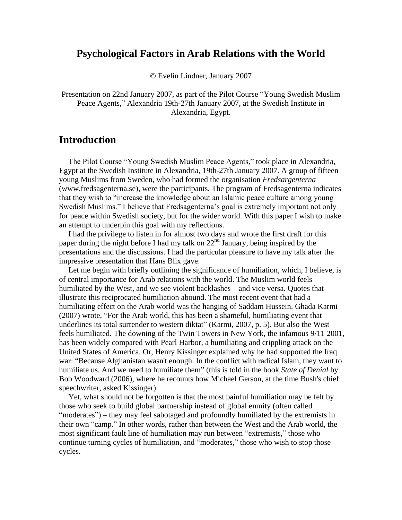#### **Psychological Factors in Arab Relations with the World**

© Evelin Lindner, January 2007

Presentation on 22nd January 2007, as part of the Pilot Course "Young Swedish Muslim Peace Agents," Alexandria 19th-27th January 2007, at the Swedish Institute in Alexandria, Egypt.

#### **Introduction**

The Pilot Course "Young Swedish Muslim Peace Agents," took place in Alexandria, Egypt at the Swedish Institute in Alexandria, 19th-27th January 2007. A group of fifteen young Muslims from Sweden, who had formed the organisation *Fredsargenterna* [\(www.fredsagenterna.se\)](http://www.fredsagenterna.se/), were the participants. The program of Fredsagenterna indicates that they wish to "increase the knowledge about an Islamic peace culture among young Swedish Muslims." I believe that Fredsagenterna's goal is extremely important not only for peace within Swedish society, but for the wider world. With this paper I wish to make an attempt to underpin this goal with my reflections.

I had the privilege to listen in for almost two days and wrote the first draft for this paper during the night before I had my talk on  $22<sup>nd</sup>$  January, being inspired by the presentations and the discussions. I had the particular pleasure to have my talk after the impressive presentation that Hans Blix gave.

Let me begin with briefly outlining the significance of humiliation, which, I believe, is of central importance for Arab relations with the world. The Muslim world feels humiliated by the West, and we see violent backlashes – and vice versa. Quotes that illustrate this reciprocated humiliation abound. The most recent event that had a humiliating effect on the Arab world was the hanging of Saddam Hussein. Ghada Karmi (2007) wrote, "For the Arab world, this has been a shameful, humiliating event that underlines its total surrender to western diktat" (Karmi, 2007, p. 5). But also the West feels humiliated. The downing of the Twin Towers in New York, the infamous 9/11 2001, has been widely compared with Pearl Harbor, a humiliating and crippling attack on the United States of America. Or, Henry Kissinger explained why he had supported the Iraq war: "Because Afghanistan wasn't enough. In the conflict with radical Islam, they want to humiliate us. And we need to humiliate them" (this is told in the book *State of Denial* by Bob Woodward (2006), where he recounts how Michael Gerson, at the time Bush's chief speechwriter, asked Kissinger).

Yet, what should not be forgotten is that the most painful humiliation may be felt by those who seek to build global partnership instead of global enmity (often called "moderates") – they may feel sabotaged and profoundly humiliated by the extremists in their own "camp." In other words, rather than between the West and the Arab world, the most significant fault line of humiliation may run between "extremists," those who continue turning cycles of humiliation, and "moderates," those who wish to stop those cycles.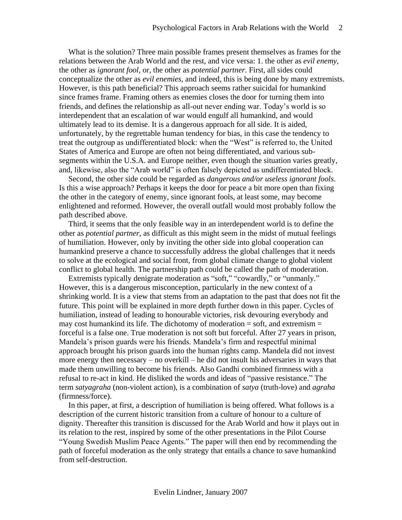What is the solution? Three main possible frames present themselves as frames for the relations between the Arab World and the rest, and vice versa: 1. the other as *evil enemy*, the other as *ignorant fool*, or, the other as *potential partner*. First, all sides could conceptualize the other as *evil enemies*, and indeed, this is being done by many extremists. However, is this path beneficial? This approach seems rather suicidal for humankind since frames frame. Framing others as enemies closes the door for turning them into friends, and defines the relationship as all-out never ending war. Today's world is so interdependent that an escalation of war would engulf all humankind, and would ultimately lead to its demise. It is a dangerous approach for all side. It is aided, unfortunately, by the regrettable human tendency for bias, in this case the tendency to treat the outgroup as undifferentiated block: when the "West" is referred to, the United States of America and Europe are often not being differentiated, and various subsegments within the U.S.A. and Europe neither, even though the situation varies greatly, and, likewise, also the "Arab world" is often falsely depicted as undifferentiated block.

Second, the other side could be regarded as *dangerous and/or useless ignorant fools*. Is this a wise approach? Perhaps it keeps the door for peace a bit more open than fixing the other in the category of enemy, since ignorant fools, at least some, may become enlightened and reformed. However, the overall outfall would most probably follow the path described above.

Third, it seems that the only feasible way in an interdependent world is to define the other as *potential partner*, as difficult as this might seem in the midst of mutual feelings of humiliation. However, only by inviting the other side into global cooperation can humankind preserve a chance to successfully address the global challenges that it needs to solve at the ecological and social front, from global climate change to global violent conflict to global health. The partnership path could be called the path of moderation.

Extremists typically denigrate moderation as "soft," "cowardly," or "unmanly." However, this is a dangerous misconception, particularly in the new context of a shrinking world. It is a view that stems from an adaptation to the past that does not fit the future. This point will be explained in more depth further down in this paper. Cycles of humiliation, instead of leading to honourable victories, risk devouring everybody and may cost humankind its life. The dichotomy of moderation  $=$  soft, and extremism  $=$ forceful is a false one. True moderation is not soft but forceful. After 27 years in prison, Mandela's prison guards were his friends. Mandela's firm and respectful minimal approach brought his prison guards into the human rights camp. Mandela did not invest more energy then necessary – no overkill – he did not insult his adversaries in ways that made them unwilling to become his friends. Also Gandhi combined firmness with a refusal to re-act in kind. He disliked the words and ideas of "passive resistance." The term *satyagraha* (non-violent action), is a combination of *satya* (truth-love) and *agraha* (firmness/force).

In this paper, at first, a description of humiliation is being offered. What follows is a description of the current historic transition from a culture of honour to a culture of dignity. Thereafter this transition is discussed for the Arab World and how it plays out in its relation to the rest, inspired by some of the other presentations in the Pilot Course "Young Swedish Muslim Peace Agents." The paper will then end by recommending the path of forceful moderation as the only strategy that entails a chance to save humankind from self-destruction.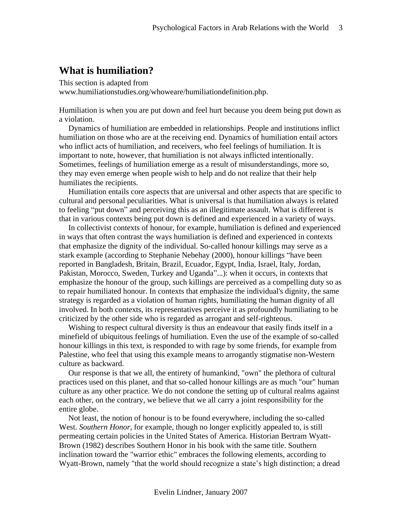# **What is humiliation?**

This section is adapted from [www.humiliationstudies.org/whoweare/humiliationdefinition.php.](http://www.humiliationstudies.org/whoweare/humiliationdefinition.php)

Humiliation is when you are put down and feel hurt because you deem being put down as a violation.

Dynamics of humiliation are embedded in relationships. People and institutions inflict humiliation on those who are at the receiving end. Dynamics of humiliation entail actors who inflict acts of humiliation, and receivers, who feel feelings of humiliation. It is important to note, however, that humiliation is not always inflicted intentionally. Sometimes, feelings of humiliation emerge as a result of misunderstandings, more so, they may even emerge when people wish to help and do not realize that their help humiliates the recipients.

Humiliation entails core aspects that are universal and other aspects that are specific to cultural and personal peculiarities. What is universal is that humiliation always is related to feeling "put down" and perceiving this as an illegitimate assault. What is different is that in various contexts being put down is defined and experienced in a variety of ways.

In collectivist contexts of honour, for example, humiliation is defined and experienced in ways that often contrast the ways humiliation is defined and experienced in contexts that emphasize the dignity of the individual. So-called honour killings may serve as a stark example (according to Stephanie Nebehay (2000), honour killings "have been reported in Bangladesh, Britain, Brazil, Ecuador, Egypt, India, Israel, Italy, Jordan, Pakistan, Morocco, Sweden, Turkey and Uganda"...): when it occurs, in contexts that emphasize the honour of the group, such killings are perceived as a compelling duty so as to repair humiliated honour. In contexts that emphasize the individual's dignity, the same strategy is regarded as a violation of human rights, humiliating the human dignity of all involved. In both contexts, its representatives perceive it as profoundly humiliating to be criticized by the other side who is regarded as arrogant and self-righteous.

Wishing to respect cultural diversity is thus an endeavour that easily finds itself in a minefield of ubiquitous feelings of humiliation. Even the use of the example of so-called honour killings in this text, is responded to with rage by some friends, for example from Palestine, who feel that using this example means to arrogantly stigmatise non-Western culture as backward.

Our response is that we all, the entirety of humankind, "own" the plethora of cultural practices used on this planet, and that so-called honour killings are as much "our" human culture as any other practice. We do not condone the setting up of cultural realms against each other, on the contrary, we believe that we all carry a joint responsibility for the entire globe.

Not least, the notion of honour is to be found everywhere, including the so-called West. *Southern Honor*, for example, though no longer explicitly appealed to, is still permeating certain policies in the United States of America. Historian Bertram Wyatt-Brown (1982) describes Southern Honor in his book with the same title. Southern inclination toward the "warrior ethic" embraces the following elements, according to Wyatt-Brown, namely "that the world should recognize a state's high distinction; a dread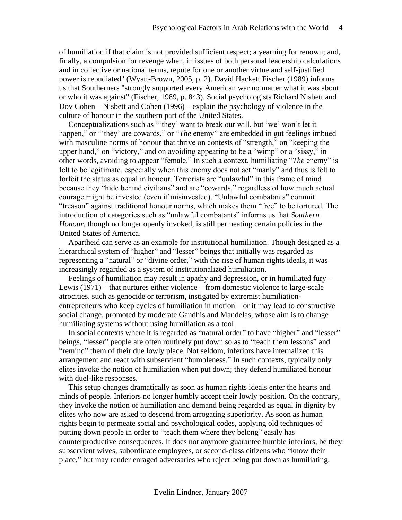of humiliation if that claim is not provided sufficient respect; a yearning for renown; and, finally, a compulsion for revenge when, in issues of both personal leadership calculations and in collective or national terms, repute for one or another virtue and self-justified power is repudiated" (Wyatt-Brown, 2005, p. 2). David Hackett Fischer (1989) informs us that Southerners "strongly supported every American war no matter what it was about or who it was against" (Fischer, 1989, p. 843). Social psychologists Richard Nisbett and Dov Cohen – Nisbett and Cohen (1996) – explain the psychology of violence in the culture of honour in the southern part of the United States.

Conceptualizations such as "'they' want to break our will, but 'we' won't let it happen," or "they' are cowards," or "*The* enemy" are embedded in gut feelings imbued with masculine norms of honour that thrive on contests of "strength," on "keeping the upper hand," on "victory," and on avoiding appearing to be a "wimp" or a "sissy," in other words, avoiding to appear "female." In such a context, humiliating "*The* enemy" is felt to be legitimate, especially when this enemy does not act "manly" and thus is felt to forfeit the status as equal in honour. Terrorists are "unlawful" in this frame of mind because they "hide behind civilians" and are "cowards," regardless of how much actual courage might be invested (even if misinvested). "Unlawful combatants" commit "treason" against traditional honour norms, which makes them "free" to be tortured. The introduction of categories such as "unlawful combatants" informs us that *Southern Honour*, though no longer openly invoked, is still permeating certain policies in the United States of America.

Apartheid can serve as an example for institutional humiliation. Though designed as a hierarchical system of "higher" and "lesser" beings that initially was regarded as representing a "natural" or "divine order," with the rise of human rights ideals, it was increasingly regarded as a system of institutionalized humiliation.

Feelings of humiliation may result in apathy and depression, or in humiliated fury – Lewis (1971) – that nurtures either violence – from domestic violence to large-scale atrocities, such as genocide or terrorism, instigated by extremist humiliationentrepreneurs who keep cycles of humiliation in motion – or it may lead to constructive social change, promoted by moderate Gandhis and Mandelas, whose aim is to change humiliating systems without using humiliation as a tool.

In social contexts where it is regarded as "natural order" to have "higher" and "lesser" beings, "lesser" people are often routinely put down so as to "teach them lessons" and "remind" them of their due lowly place. Not seldom, inferiors have internalized this arrangement and react with subservient "humbleness." In such contexts, typically only elites invoke the notion of humiliation when put down; they defend humiliated honour with duel-like responses.

This setup changes dramatically as soon as human rights ideals enter the hearts and minds of people. Inferiors no longer humbly accept their lowly position. On the contrary, they invoke the notion of humiliation and demand being regarded as equal in dignity by elites who now are asked to descend from arrogating superiority. As soon as human rights begin to permeate social and psychological codes, applying old techniques of putting down people in order to "teach them where they belong" easily has counterproductive consequences. It does not anymore guarantee humble inferiors, be they subservient wives, subordinate employees, or second-class citizens who "know their place," but may render enraged adversaries who reject being put down as humiliating.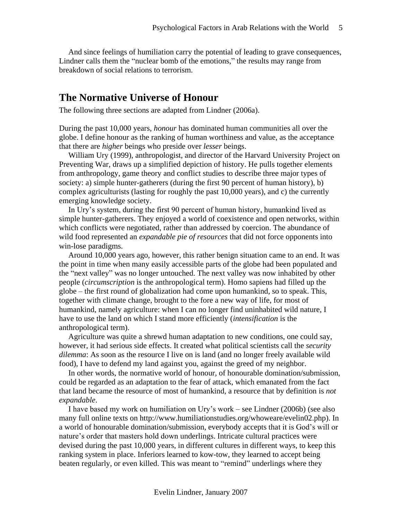And since feelings of humiliation carry the potential of leading to grave consequences, Lindner calls them the "nuclear bomb of the emotions," the results may range from breakdown of social relations to terrorism.

### **The Normative Universe of Honour**

The following three sections are adapted from Lindner (2006a).

During the past 10,000 years, *honour* has dominated human communities all over the globe. I define honour as the ranking of human worthiness and value, as the acceptance that there are *higher* beings who preside over *lesser* beings.

William Ury (1999), anthropologist, and director of the Harvard University Project on Preventing War, draws up a simplified depiction of history. He pulls together elements from anthropology, game theory and conflict studies to describe three major types of society: a) simple hunter-gatherers (during the first 90 percent of human history), b) complex agriculturists (lasting for roughly the past 10,000 years), and c) the currently emerging knowledge society.

In Ury's system, during the first 90 percent of human history, humankind lived as simple hunter-gatherers. They enjoyed a world of coexistence and open networks, within which conflicts were negotiated, rather than addressed by coercion. The abundance of wild food represented an *expandable pie of resources* that did not force opponents into win-lose paradigms.

Around 10,000 years ago, however, this rather benign situation came to an end. It was the point in time when many easily accessible parts of the globe had been populated and the "next valley" was no longer untouched. The next valley was now inhabited by other people (*circumscription* is the anthropological term). Homo sapiens had filled up the globe – the first round of globalization had come upon humankind, so to speak. This, together with climate change, brought to the fore a new way of life, for most of humankind, namely agriculture: when I can no longer find uninhabited wild nature, I have to use the land on which I stand more efficiently (*intensification* is the anthropological term).

Agriculture was quite a shrewd human adaptation to new conditions, one could say, however, it had serious side effects. It created what political scientists call the *security dilemma*: As soon as the resource I live on is land (and no longer freely available wild food), I have to defend my land against you, against the greed of my neighbor.

In other words, the normative world of honour, of honourable domination/submission, could be regarded as an adaptation to the fear of attack, which emanated from the fact that land became the resource of most of humankind, a resource that by definition is *not expandable*.

I have based my work on humiliation on Ury's work – see Lindner (2006b) (see also many full online texts on http://www.humiliationstudies.org/whoweare/evelin02.php). In a world of honourable domination/submission, everybody accepts that it is God's will or nature's order that masters hold down underlings. Intricate cultural practices were devised during the past 10,000 years, in different cultures in different ways, to keep this ranking system in place. Inferiors learned to kow-tow, they learned to accept being beaten regularly, or even killed. This was meant to "remind" underlings where they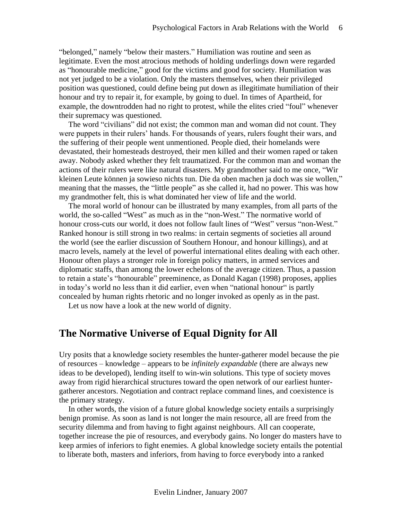"belonged," namely "below their masters." Humiliation was routine and seen as legitimate. Even the most atrocious methods of holding underlings down were regarded as "honourable medicine," good for the victims and good for society. Humiliation was not yet judged to be a violation. Only the masters themselves, when their privileged position was questioned, could define being put down as illegitimate humiliation of their honour and try to repair it, for example, by going to duel. In times of Apartheid, for example, the downtrodden had no right to protest, while the elites cried "foul" whenever their supremacy was questioned.

The word "civilians" did not exist; the common man and woman did not count. They were puppets in their rulers' hands. For thousands of years, rulers fought their wars, and the suffering of their people went unmentioned. People died, their homelands were devastated, their homesteads destroyed, their men killed and their women raped or taken away. Nobody asked whether they felt traumatized. For the common man and woman the actions of their rulers were like natural disasters. My grandmother said to me once, "Wir kleinen Leute können ja sowieso nichts tun. Die da oben machen ja doch was sie wollen," meaning that the masses, the "little people" as she called it, had no power. This was how my grandmother felt, this is what dominated her view of life and the world.

The moral world of honour can be illustrated by many examples, from all parts of the world, the so-called "West" as much as in the "non-West." The normative world of honour cross-cuts our world, it does not follow fault lines of "West" versus "non-West." Ranked honour is still strong in two realms: in certain segments of societies all around the world (see the earlier discussion of Southern Honour, and honour killings), and at macro levels, namely at the level of powerful international elites dealing with each other. Honour often plays a stronger role in foreign policy matters, in armed services and diplomatic staffs, than among the lower echelons of the average citizen. Thus, a passion to retain a state's "honourable" preeminence, as Donald Kagan (1998) proposes, applies in today's world no less than it did earlier, even when "national honour" is partly concealed by human rights rhetoric and no longer invoked as openly as in the past.

Let us now have a look at the new world of dignity.

#### **The Normative Universe of Equal Dignity for All**

Ury posits that a knowledge society resembles the hunter-gatherer model because the pie of resources – knowledge – appears to be *infinitely expandable* (there are always new ideas to be developed), lending itself to win-win solutions. This type of society moves away from rigid hierarchical structures toward the open network of our earliest huntergatherer ancestors. Negotiation and contract replace command lines, and coexistence is the primary strategy.

In other words, the vision of a future global knowledge society entails a surprisingly benign promise. As soon as land is not longer the main resource, all are freed from the security dilemma and from having to fight against neighbours. All can cooperate, together increase the pie of resources, and everybody gains. No longer do masters have to keep armies of inferiors to fight enemies. A global knowledge society entails the potential to liberate both, masters and inferiors, from having to force everybody into a ranked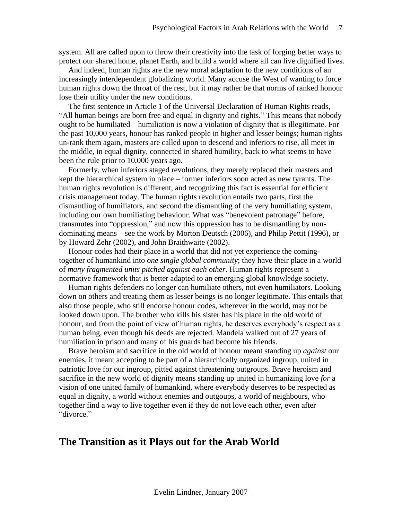system. All are called upon to throw their creativity into the task of forging better ways to protect our shared home, planet Earth, and build a world where all can live dignified lives.

And indeed, human rights are the new moral adaptation to the new conditions of an increasingly interdependent globalizing world. Many accuse the West of wanting to force human rights down the throat of the rest, but it may rather be that norms of ranked honour lose their utility under the new conditions.

The first sentence in Article 1 of the Universal Declaration of Human Rights reads, "All human beings are born free and equal in dignity and rights." This means that nobody ought to be humiliated – humiliation is now a violation of dignity that is illegitimate. For the past 10,000 years, honour has ranked people in higher and lesser beings; human rights un-rank them again, masters are called upon to descend and inferiors to rise, all meet in the middle, in equal dignity, connected in shared humility, back to what seems to have been the rule prior to 10,000 years ago.

Formerly, when inferiors staged revolutions, they merely replaced their masters and kept the hierarchical system in place – former inferiors soon acted as new tyrants. The human rights revolution is different, and recognizing this fact is essential for efficient crisis management today. The human rights revolution entails two parts, first the dismantling of humiliators, and second the dismantling of the very humiliating system, including our own humiliating behaviour. What was "benevolent patronage" before, transmutes into "oppression," and now this oppression has to be dismantling by nondominating means – see the work by Morton Deutsch (2006), and Philip Pettit (1996), or by Howard Zehr (2002), and John Braithwaite (2002).

Honour codes had their place in a world that did not yet experience the comingtogether of humankind into *one single global community*; they have their place in a world of *many fragmented units pitched against each other*. Human rights represent a normative framework that is better adapted to an emerging global knowledge society.

Human rights defenders no longer can humiliate others, not even humiliators. Looking down on others and treating them as lesser beings is no longer legitimate. This entails that also those people, who still endorse honour codes, wherever in the world, may not be looked down upon. The brother who kills his sister has his place in the old world of honour, and from the point of view of human rights, he deserves everybody's respect as a human being, even though his deeds are rejected. Mandela walked out of 27 years of humiliation in prison and many of his guards had become his friends.

Brave heroism and sacrifice in the old world of honour meant standing up *against* our enemies, it meant accepting to be part of a hierarchically organized ingroup, united in patriotic love for our ingroup, pitted against threatening outgroups. Brave heroism and sacrifice in the new world of dignity means standing up united in humanizing love *for* a vision of one united family of humankind, where everybody deserves to be respected as equal in dignity, a world without enemies and outgoups, a world of neighbours, who together find a way to live together even if they do not love each other, even after "divorce."

#### **The Transition as it Plays out for the Arab World**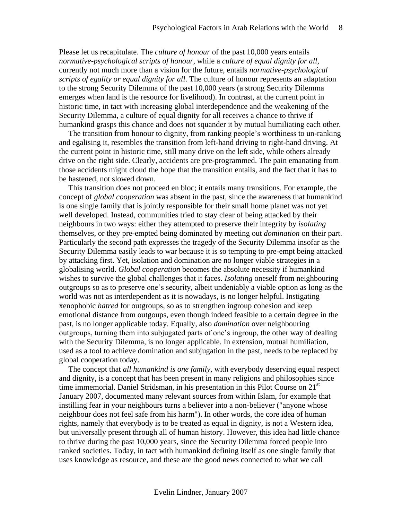Please let us recapitulate. The *culture of honour* of the past 10,000 years entails *normative-psychological scripts of honour*, while a *culture of equal dignity for all*, currently not much more than a vision for the future, entails *normative-psychological scripts of egality or equal dignity for all*. The culture of honour represents an adaptation to the strong Security Dilemma of the past 10,000 years (a strong Security Dilemma emerges when land is the resource for livelihood). In contrast, at the current point in historic time, in tact with increasing global interdependence and the weakening of the Security Dilemma, a culture of equal dignity for all receives a chance to thrive if humankind grasps this chance and does not squander it by mutual humiliating each other.

The transition from honour to dignity, from ranking people's worthiness to un-ranking and egalising it, resembles the transition from left-hand driving to right-hand driving. At the current point in historic time, still many drive on the left side, while others already drive on the right side. Clearly, accidents are pre-programmed. The pain emanating from those accidents might cloud the hope that the transition entails, and the fact that it has to be hastened, not slowed down.

This transition does not proceed en bloc; it entails many transitions. For example, the concept of *global cooperation* was absent in the past, since the awareness that humankind is one single family that is jointly responsible for their small home planet was not yet well developed. Instead, communities tried to stay clear of being attacked by their neighbours in two ways: either they attempted to preserve their integrity by *isolating* themselves, or they pre-empted being dominated by meeting out *domination* on their part. Particularly the second path expresses the tragedy of the Security Dilemma insofar as the Security Dilemma easily leads to war because it is so tempting to pre-empt being attacked by attacking first. Yet, isolation and domination are no longer viable strategies in a globalising world. *Global cooperation* becomes the absolute necessity if humankind wishes to survive the global challenges that it faces. *Isolating* oneself from neighbouring outgroups so as to preserve one's security, albeit undeniably a viable option as long as the world was not as interdependent as it is nowadays, is no longer helpful. Instigating xenophobic *hatred* for outgroups, so as to strengthen ingroup cohesion and keep emotional distance from outgoups, even though indeed feasible to a certain degree in the past, is no longer applicable today. Equally, also *domination* over neighbouring outgroups, turning them into subjugated parts of one's ingroup, the other way of dealing with the Security Dilemma, is no longer applicable. In extension, mutual humiliation, used as a tool to achieve domination and subjugation in the past, needs to be replaced by global cooperation today.

The concept that *all humankind is one family*, with everybody deserving equal respect and dignity, is a concept that has been present in many religions and philosophies since time immemorial. Daniel Stridsman, in his presentation in this Pilot Course on  $21<sup>st</sup>$ January 2007, documented many relevant sources from within Islam, for example that instilling fear in your neighbours turns a believer into a non-believer ("anyone whose neighbour does not feel safe from his harm"). In other words, the core idea of human rights, namely that everybody is to be treated as equal in dignity, is not a Western idea, but universally present through all of human history. However, this idea had little chance to thrive during the past 10,000 years, since the Security Dilemma forced people into ranked societies. Today, in tact with humankind defining itself as one single family that uses knowledge as resource, and these are the good news connected to what we call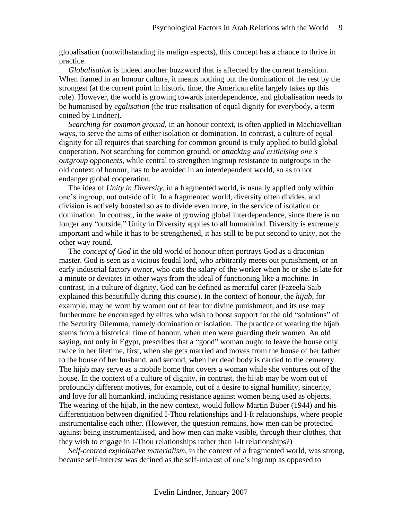globalisation (notwithstanding its malign aspects), this concept has a chance to thrive in practice.

*Globalisation* is indeed another buzzword that is affected by the current transition. When framed in an honour culture, it means nothing but the domination of the rest by the strongest (at the current point in historic time, the American elite largely takes up this role). However, the world is growing towards interdependence, and globalisation needs to be humanised by *egalisation* (the true realisation of equal dignity for everybody, a term coined by Lindner).

*Searching for common ground*, in an honour context, is often applied in Machiavellian ways, to serve the aims of either isolation or domination. In contrast, a culture of equal dignity for all requires that searching for common ground is truly applied to build global cooperation. Not searching for common ground, or *attacking and criticising one's outgroup opponents*, while central to strengthen ingroup resistance to outgroups in the old context of honour, has to be avoided in an interdependent world, so as to not endanger global cooperation.

The idea of *Unity in Diversity*, in a fragmented world, is usually applied only within one's ingroup, not outside of it. In a fragmented world, diversity often divides, and division is actively boosted so as to divide even more, in the service of isolation or domination. In contrast, in the wake of growing global interdependence, since there is no longer any "outside," Unity in Diversity applies to all humankind. Diversity is extremely important and while it has to be strengthened, it has still to be put second to unity, not the other way round.

The *concept of God* in the old world of honour often portrays God as a draconian master. God is seen as a vicious feudal lord, who arbitrarily meets out punishment, or an early industrial factory owner, who cuts the salary of the worker when he or she is late for a minute or deviates in other ways from the ideal of functioning like a machine. In contrast, in a culture of dignity, God can be defined as merciful carer (Fazeela Saib explained this beautifully during this course). In the context of honour, the *hijab*, for example, may be worn by women out of fear for divine punishment, and its use may furthermore be encouraged by elites who wish to boost support for the old "solutions" of the Security Dilemma, namely domination or isolation. The practice of wearing the hijab stems from a historical time of honour, when men were guarding their women. An old saying, not only in Egypt, prescribes that a "good" woman ought to leave the house only twice in her lifetime, first, when she gets married and moves from the house of her father to the house of her husband, and second, when her dead body is carried to the cemetery. The hijab may serve as a mobile home that covers a woman while she ventures out of the house. In the context of a culture of dignity, in contrast, the hijab may be worn out of profoundly different motives, for example, out of a desire to signal humility, sincerity, and love for all humankind, including resistance against women being used as objects. The wearing of the hijab, in the new context, would follow Martin Buber (1944) and his differentiation between dignified I-Thou relationships and I-It relationships, where people instrumentalise each other. (However, the question remains, how men can be protected against being instrumentalised, and how men can make visible, through their clothes, that they wish to engage in I-Thou relationships rather than I-It relationships?)

*Self-centred exploitative materialism*, in the context of a fragmented world, was strong, because self-interest was defined as the self-interest of one's ingroup as opposed to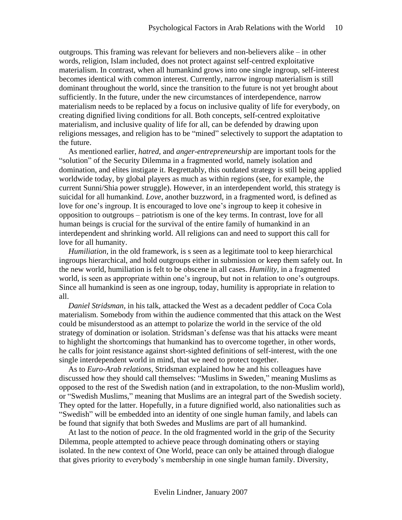outgroups. This framing was relevant for believers and non-believers alike – in other words, religion, Islam included, does not protect against self-centred exploitative materialism. In contrast, when all humankind grows into one single ingroup, self-interest becomes identical with common interest. Currently, narrow ingroup materialism is still dominant throughout the world, since the transition to the future is not yet brought about sufficiently. In the future, under the new circumstances of interdependence, narrow materialism needs to be replaced by a focus on inclusive quality of life for everybody, on creating dignified living conditions for all. Both concepts, self-centred exploitative materialism, and inclusive quality of life for all, can be defended by drawing upon religions messages, and religion has to be "mined" selectively to support the adaptation to the future.

As mentioned earlier, *hatred,* and *anger-entrepreneurship* are important tools for the "solution" of the Security Dilemma in a fragmented world, namely isolation and domination, and elites instigate it. Regrettably, this outdated strategy is still being applied worldwide today, by global players as much as within regions (see, for example, the current Sunni/Shia power struggle). However, in an interdependent world, this strategy is suicidal for all humankind. *Love*, another buzzword, in a fragmented word, is defined as love for one's ingroup. It is encouraged to love one's ingroup to keep it cohesive in opposition to outgroups – patriotism is one of the key terms. In contrast, love for all human beings is crucial for the survival of the entire family of humankind in an interdependent and shrinking world. All religions can and need to support this call for love for all humanity.

*Humiliation,* in the old framework, is s seen as a legitimate tool to keep hierarchical ingroups hierarchical, and hold outgroups either in submission or keep them safely out. In the new world, humiliation is felt to be obscene in all cases. *Humility*, in a fragmented world, is seen as appropriate within one's ingroup, but not in relation to one's outgroups. Since all humankind is seen as one ingroup, today, humility is appropriate in relation to all.

*Daniel Stridsman*, in his talk, attacked the West as a decadent peddler of Coca Cola materialism. Somebody from within the audience commented that this attack on the West could be misunderstood as an attempt to polarize the world in the service of the old strategy of domination or isolation. Stridsman's defense was that his attacks were meant to highlight the shortcomings that humankind has to overcome together, in other words, he calls for joint resistance against short-sighted definitions of self-interest, with the one single interdependent world in mind, that we need to protect together.

As to *Euro-Arab relations*, Stridsman explained how he and his colleagues have discussed how they should call themselves: "Muslims in Sweden," meaning Muslims as opposed to the rest of the Swedish nation (and in extrapolation, to the non-Muslim world), or "Swedish Muslims," meaning that Muslims are an integral part of the Swedish society. They opted for the latter. Hopefully, in a future dignified world, also nationalities such as "Swedish" will be embedded into an identity of one single human family, and labels can be found that signify that both Swedes and Muslims are part of all humankind.

At last to the notion of *peace*. In the old fragmented world in the grip of the Security Dilemma, people attempted to achieve peace through dominating others or staying isolated. In the new context of One World, peace can only be attained through dialogue that gives priority to everybody's membership in one single human family. Diversity,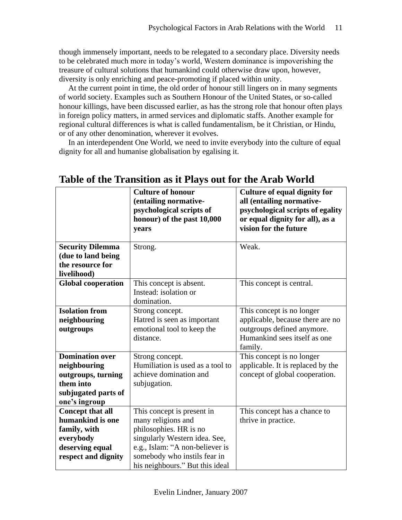though immensely important, needs to be relegated to a secondary place. Diversity needs to be celebrated much more in today's world, Western dominance is impoverishing the treasure of cultural solutions that humankind could otherwise draw upon, however, diversity is only enriching and peace-promoting if placed within unity.

At the current point in time, the old order of honour still lingers on in many segments of world society. Examples such as Southern Honour of the United States, or so-called honour killings, have been discussed earlier, as has the strong role that honour often plays in foreign policy matters, in armed services and diplomatic staffs. Another example for regional cultural differences is what is called fundamentalism, be it Christian, or Hindu, or of any other denomination, wherever it evolves.

In an interdependent One World, we need to invite everybody into the culture of equal dignity for all and humanise globalisation by egalising it.

|                                                                                                                    | <b>Culture of honour</b><br>(entailing normative-<br>psychological scripts of<br>honour) of the past 10,000<br>years                                                                                              | <b>Culture of equal dignity for</b><br>all (entailing normative-<br>psychological scripts of egality<br>or equal dignity for all), as a<br>vision for the future |
|--------------------------------------------------------------------------------------------------------------------|-------------------------------------------------------------------------------------------------------------------------------------------------------------------------------------------------------------------|------------------------------------------------------------------------------------------------------------------------------------------------------------------|
| <b>Security Dilemma</b><br>(due to land being<br>the resource for<br>livelihood)                                   | Strong.                                                                                                                                                                                                           | Weak.                                                                                                                                                            |
| <b>Global cooperation</b>                                                                                          | This concept is absent.<br>Instead: isolation or<br>domination.                                                                                                                                                   | This concept is central.                                                                                                                                         |
| <b>Isolation from</b><br>neighbouring<br>outgroups                                                                 | Strong concept.<br>Hatred is seen as important<br>emotional tool to keep the<br>distance.                                                                                                                         | This concept is no longer<br>applicable, because there are no<br>outgroups defined anymore.<br>Humankind sees itself as one<br>family.                           |
| <b>Domination over</b><br>neighbouring<br>outgroups, turning<br>them into<br>subjugated parts of<br>one's ingroup  | Strong concept.<br>Humiliation is used as a tool to<br>achieve domination and<br>subjugation.                                                                                                                     | This concept is no longer<br>applicable. It is replaced by the<br>concept of global cooperation.                                                                 |
| <b>Concept that all</b><br>humankind is one<br>family, with<br>everybody<br>deserving equal<br>respect and dignity | This concept is present in<br>many religions and<br>philosophies. HR is no<br>singularly Western idea. See,<br>e.g., Islam: "A non-believer is<br>somebody who instils fear in<br>his neighbours." But this ideal | This concept has a chance to<br>thrive in practice.                                                                                                              |

## **Table of the Transition as it Plays out for the Arab World**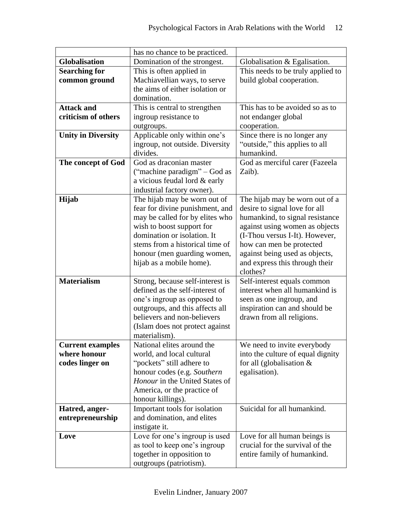|                           | has no chance to be practiced.        |                                            |
|---------------------------|---------------------------------------|--------------------------------------------|
| <b>Globalisation</b>      | Domination of the strongest.          | Globalisation & Egalisation.               |
| <b>Searching for</b>      | This is often applied in              | This needs to be truly applied to          |
| common ground             | Machiavellian ways, to serve          | build global cooperation.                  |
|                           | the aims of either isolation or       |                                            |
|                           | domination.                           |                                            |
| <b>Attack and</b>         | This is central to strengthen         | This has to be avoided so as to            |
| criticism of others       | ingroup resistance to                 | not endanger global                        |
|                           | outgroups.                            | cooperation.                               |
| <b>Unity in Diversity</b> | Applicable only within one's          | Since there is no longer any               |
|                           | ingroup, not outside. Diversity       | "outside," this applies to all             |
|                           | divides.                              | humankind.                                 |
| The concept of God        | God as draconian master               | God as merciful carer (Fazeela             |
|                           | ("machine paradigm" – God as          | Zaib).                                     |
|                           | a vicious feudal lord & early         |                                            |
|                           | industrial factory owner).            |                                            |
| Hijab                     | The hijab may be worn out of          | The hijab may be worn out of a             |
|                           | fear for divine punishment, and       | desire to signal love for all              |
|                           | may be called for by elites who       | humankind, to signal resistance            |
|                           | wish to boost support for             | against using women as objects             |
|                           | domination or isolation. It           | (I-Thou versus I-It). However,             |
|                           | stems from a historical time of       | how can men be protected                   |
|                           | honour (men guarding women,           | against being used as objects,             |
|                           | hijab as a mobile home).              | and express this through their<br>clothes? |
| <b>Materialism</b>        | Strong, because self-interest is      | Self-interest equals common                |
|                           | defined as the self-interest of       | interest when all humankind is             |
|                           | one's ingroup as opposed to           | seen as one ingroup, and                   |
|                           | outgroups, and this affects all       | inspiration can and should be              |
|                           | believers and non-believers           | drawn from all religions.                  |
|                           | (Islam does not protect against       |                                            |
|                           | materialism).                         |                                            |
| <b>Current examples</b>   | National elites around the            | We need to invite everybody                |
| where honour              | world, and local cultural             | into the culture of equal dignity          |
| codes linger on           | "pockets" still adhere to             | for all (globalisation $&$                 |
|                           | honour codes (e.g. Southern           | egalisation).                              |
|                           | <i>Honour</i> in the United States of |                                            |
|                           | America, or the practice of           |                                            |
|                           | honour killings).                     |                                            |
| Hatred, anger-            | Important tools for isolation         | Suicidal for all humankind.                |
| entrepreneurship          | and domination, and elites            |                                            |
|                           | instigate it.                         |                                            |
| Love                      | Love for one's ingroup is used        | Love for all human beings is               |
|                           | as tool to keep one's ingroup         | crucial for the survival of the            |
|                           | together in opposition to             | entire family of humankind.                |
|                           | outgroups (patriotism).               |                                            |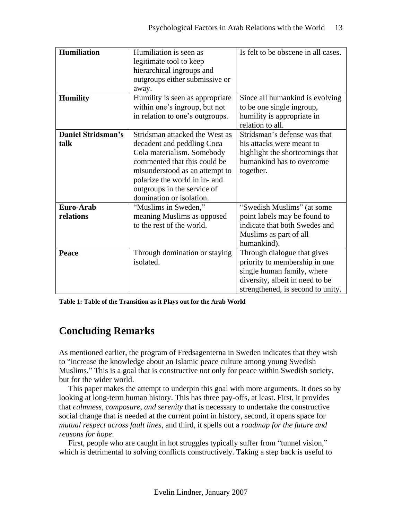| <b>Humiliation</b>        | Humiliation is seen as          | Is felt to be obscene in all cases. |
|---------------------------|---------------------------------|-------------------------------------|
|                           | legitimate tool to keep         |                                     |
|                           | hierarchical ingroups and       |                                     |
|                           | outgroups either submissive or  |                                     |
|                           | away.                           |                                     |
| <b>Humility</b>           | Humility is seen as appropriate | Since all humankind is evolving     |
|                           | within one's ingroup, but not   | to be one single ingroup,           |
|                           | in relation to one's outgroups. | humility is appropriate in          |
|                           |                                 | relation to all.                    |
| <b>Daniel Stridsman's</b> | Stridsman attacked the West as  | Stridsman's defense was that        |
| talk                      | decadent and peddling Coca      | his attacks were meant to           |
|                           | Cola materialism. Somebody      | highlight the shortcomings that     |
|                           | commented that this could be    | humankind has to overcome           |
|                           | misunderstood as an attempt to  | together.                           |
|                           | polarize the world in in- and   |                                     |
|                           | outgroups in the service of     |                                     |
|                           | domination or isolation.        |                                     |
| Euro-Arab                 | "Muslims in Sweden,"            | "Swedish Muslims" (at some          |
| relations                 | meaning Muslims as opposed      | point labels may be found to        |
|                           | to the rest of the world.       | indicate that both Swedes and       |
|                           |                                 | Muslims as part of all              |
|                           |                                 | humankind).                         |
| Peace                     | Through domination or staying   | Through dialogue that gives         |
|                           | isolated.                       | priority to membership in one       |
|                           |                                 | single human family, where          |
|                           |                                 | diversity, albeit in need to be     |
|                           |                                 | strengthened, is second to unity.   |

**Table 1: Table of the Transition as it Plays out for the Arab World**

# **Concluding Remarks**

As mentioned earlier, the program of Fredsagenterna in Sweden indicates that they wish to "increase the knowledge about an Islamic peace culture among young Swedish Muslims." This is a goal that is constructive not only for peace within Swedish society, but for the wider world.

This paper makes the attempt to underpin this goal with more arguments. It does so by looking at long-term human history. This has three pay-offs, at least. First, it provides that *calmness, composure, and serenity* that is necessary to undertake the constructive social change that is needed at the current point in history, second, it opens space for *mutual respect across fault lines*, and third, it spells out a *roadmap for the future and reasons for hope*.

First, people who are caught in hot struggles typically suffer from "tunnel vision," which is detrimental to solving conflicts constructively. Taking a step back is useful to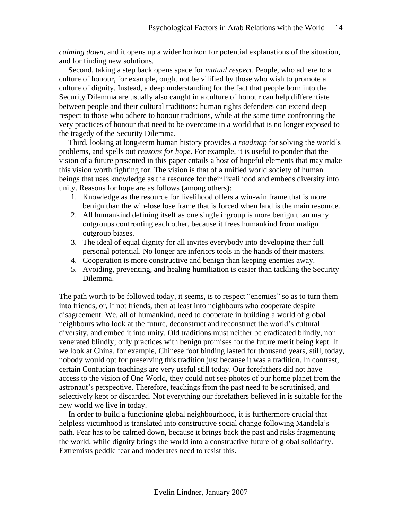*calming down*, and it opens up a wider horizon for potential explanations of the situation, and for finding new solutions.

Second, taking a step back opens space for *mutual respect*. People, who adhere to a culture of honour, for example, ought not be vilified by those who wish to promote a culture of dignity. Instead, a deep understanding for the fact that people born into the Security Dilemma are usually also caught in a culture of honour can help differentiate between people and their cultural traditions: human rights defenders can extend deep respect to those who adhere to honour traditions, while at the same time confronting the very practices of honour that need to be overcome in a world that is no longer exposed to the tragedy of the Security Dilemma.

Third, looking at long-term human history provides a *roadmap* for solving the world's problems, and spells out *reasons for hope*. For example, it is useful to ponder that the vision of a future presented in this paper entails a host of hopeful elements that may make this vision worth fighting for. The vision is that of a unified world society of human beings that uses knowledge as the resource for their livelihood and embeds diversity into unity. Reasons for hope are as follows (among others):

- 1. Knowledge as the resource for livelihood offers a win-win frame that is more benign than the win-lose lose frame that is forced when land is the main resource.
- 2. All humankind defining itself as one single ingroup is more benign than many outgroups confronting each other, because it frees humankind from malign outgroup biases.
- 3. The ideal of equal dignity for all invites everybody into developing their full personal potential. No longer are inferiors tools in the hands of their masters.
- 4. Cooperation is more constructive and benign than keeping enemies away.
- 5. Avoiding, preventing, and healing humiliation is easier than tackling the Security Dilemma.

The path worth to be followed today, it seems, is to respect "enemies" so as to turn them into friends, or, if not friends, then at least into neighbours who cooperate despite disagreement. We, all of humankind, need to cooperate in building a world of global neighbours who look at the future, deconstruct and reconstruct the world's cultural diversity, and embed it into unity. Old traditions must neither be eradicated blindly, nor venerated blindly; only practices with benign promises for the future merit being kept. If we look at China, for example, Chinese foot binding lasted for thousand years, still, today, nobody would opt for preserving this tradition just because it was a tradition. In contrast, certain Confucian teachings are very useful still today. Our forefathers did not have access to the vision of One World, they could not see photos of our home planet from the astronaut's perspective. Therefore, teachings from the past need to be scrutinised, and selectively kept or discarded. Not everything our forefathers believed in is suitable for the new world we live in today.

In order to build a functioning global neighbourhood, it is furthermore crucial that helpless victimhood is translated into constructive social change following Mandela's path. Fear has to be calmed down, because it brings back the past and risks fragmenting the world, while dignity brings the world into a constructive future of global solidarity. Extremists peddle fear and moderates need to resist this.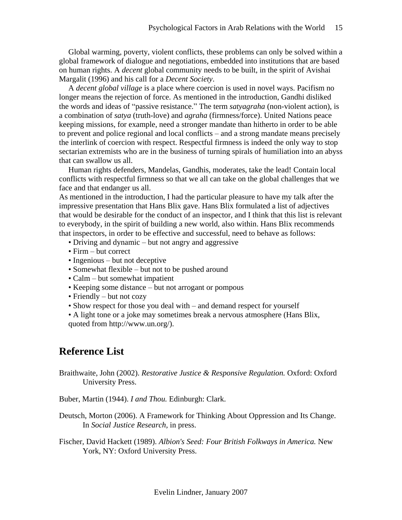Global warming, poverty, violent conflicts, these problems can only be solved within a global framework of dialogue and negotiations, embedded into institutions that are based on human rights. A *decent* global community needs to be built, in the spirit of Avishai Margalit (1996) and his call for a *Decent Society*.

A *decent global village* is a place where coercion is used in novel ways. Pacifism no longer means the rejection of force. As mentioned in the introduction, Gandhi disliked the words and ideas of "passive resistance." The term *satyagraha* (non-violent action), is a combination of *satya* (truth-love) and *agraha* (firmness/force). United Nations peace keeping missions, for example, need a stronger mandate than hitherto in order to be able to prevent and police regional and local conflicts – and a strong mandate means precisely the interlink of coercion with respect. Respectful firmness is indeed the only way to stop sectarian extremists who are in the business of turning spirals of humiliation into an abyss that can swallow us all.

Human rights defenders, Mandelas, Gandhis, moderates, take the lead! Contain local conflicts with respectful firmness so that we all can take on the global challenges that we face and that endanger us all.

As mentioned in the introduction, I had the particular pleasure to have my talk after the impressive presentation that Hans Blix gave. Hans Blix formulated a list of adjectives that would be desirable for the conduct of an inspector, and I think that this list is relevant to everybody, in the spirit of building a new world, also within. Hans Blix recommends that inspectors, in order to be effective and successful, need to behave as follows:

- Driving and dynamic but not angry and aggressive
- Firm but correct
- Ingenious but not deceptive
- Somewhat flexible but not to be pushed around
- Calm but somewhat impatient
- Keeping some distance but not arrogant or pompous
- Friendly but not cozy
- Show respect for those you deal with and demand respect for yourself
- A light tone or a joke may sometimes break a nervous atmosphere (Hans Blix, quoted from http://www.un.org/).

## **Reference List**

Braithwaite, John (2002). *Restorative Justice & Responsive Regulation.* Oxford: Oxford University Press.

Buber, Martin (1944). *I and Thou.* Edinburgh: Clark.

Deutsch, Morton (2006). A Framework for Thinking About Oppression and Its Change. In *Social Justice Research,* in press.

Fischer, David Hackett (1989). *Albion's Seed: Four British Folkways in America.* New York, NY: Oxford University Press.